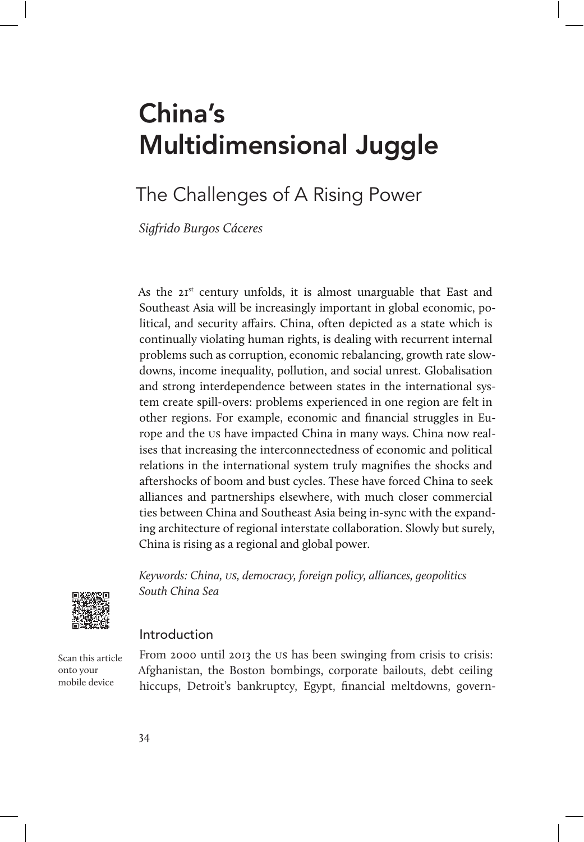# China's Multidimensional Juggle

# The Challenges of A Rising Power

Sigfrido Burgos Cáceres

As the 21<sup>st</sup> century unfolds, it is almost unarguable that East and Southeast Asia will be increasingly important in global economic, political, and security affairs. China, often depicted as a state which is continually violating human rights, is dealing with recurrent internal problems such as corruption, economic rebalancing, growth rate slowdowns, income inequality, pollution, and social unrest. Globalisation and strong interdependence between states in the international system create spill-overs: problems experienced in one region are felt in other regions. For example, economic and financial struggles in Europe and the us have impacted China in many ways. China now realises that increasing the interconnectedness of economic and political relations in the international system truly magnifies the shocks and aftershocks of boom and bust cycles. These have forced China to seek alliances and partnerships elsewhere, with much closer commercial ties between China and Southeast Asia being in-sync with the expanding architecture of regional interstate collaboration. Slowly but surely, China is rising as a regional and global power.

Keywords: China, us, democracy, foreign policy, alliances, geopolitics South China Sea



#### Introduction

Scan this article onto your mobile device

From 2000 until 2013 the us has been swinging from crisis to crisis: Afghanistan, the Boston bombings, corporate bailouts, debt ceiling hiccups, Detroit's bankruptcy, Egypt, financial meltdowns, govern-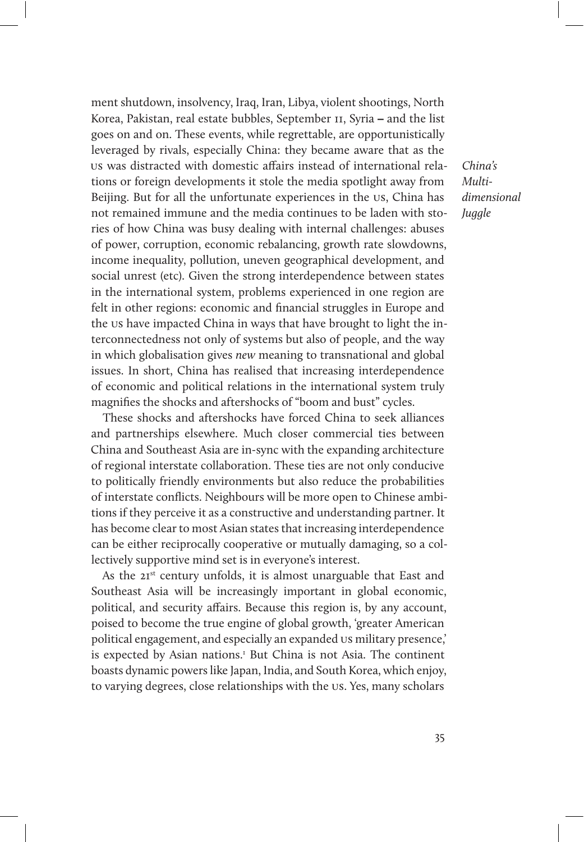ment shutdown, insolvency, Iraq, Iran, Libya, violent shootings, North Korea, Pakistan, real estate bubbles, September 11, Syria – and the list goes on and on. These events, while regrettable, are opportunistically leveraged by rivals, especially China: they became aware that as the us was distracted with domestic affairs instead of international relations or foreign developments it stole the media spotlight away from Beijing. But for all the unfortunate experiences in the us, China has not remained immune and the media continues to be laden with stories of how China was busy dealing with internal challenges: abuses of power, corruption, economic rebalancing, growth rate slowdowns, income inequality, pollution, uneven geographical development, and social unrest (etc). Given the strong interdependence between states in the international system, problems experienced in one region are felt in other regions: economic and financial struggles in Europe and the us have impacted China in ways that have brought to light the interconnectedness not only of systems but also of people, and the way in which globalisation gives new meaning to transnational and global issues. In short, China has realised that increasing interdependence of economic and political relations in the international system truly magnifies the shocks and aftershocks of "boom and bust" cycles.

These shocks and aftershocks have forced China to seek alliances and partnerships elsewhere. Much closer commercial ties between China and Southeast Asia are in-sync with the expanding architecture of regional interstate collaboration. These ties are not only conducive to politically friendly environments but also reduce the probabilities of interstate conflicts. Neighbours will be more open to Chinese ambitions if they perceive it as a constructive and understanding partner. It has become clear to most Asian states that increasing interdependence can be either reciprocally cooperative or mutually damaging, so a collectively supportive mind set is in everyone's interest.

As the  $2I^{st}$  century unfolds, it is almost unarguable that East and Southeast Asia will be increasingly important in global economic, political, and security affairs. Because this region is, by any account, poised to become the true engine of global growth, 'greater American political engagement, and especially an expanded us military presence,' is expected by Asian nations.<sup>1</sup> But China is not Asia. The continent boasts dynamic powers like Japan, India, and South Korea, which enjoy, to varying degrees, close relationships with the us. Yes, many scholars

China's Multidimensional Juggle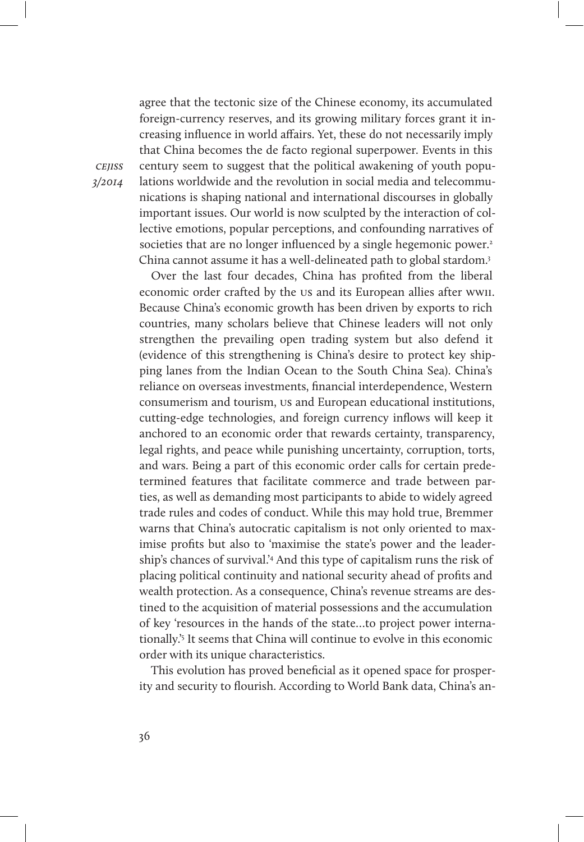agree that the tectonic size of the Chinese economy, its accumulated foreign-currency reserves, and its growing military forces grant it increasing influence in world affairs. Yet, these do not necessarily imply that China becomes the de facto regional superpower. Events in this century seem to suggest that the political awakening of youth populations worldwide and the revolution in social media and telecommunications is shaping national and international discourses in globally important issues. Our world is now sculpted by the interaction of collective emotions, popular perceptions, and confounding narratives of societies that are no longer influenced by a single hegemonic power.<sup>2</sup> China cannot assume it has a well-delineated path to global stardom.3

Over the last four decades, China has profited from the liberal economic order crafted by the us and its European allies after wwii. Because China's economic growth has been driven by exports to rich countries, many scholars believe that Chinese leaders will not only strengthen the prevailing open trading system but also defend it (evidence of this strengthening is China's desire to protect key shipping lanes from the Indian Ocean to the South China Sea). China's reliance on overseas investments, financial interdependence, Western consumerism and tourism, us and European educational institutions, cutting-edge technologies, and foreign currency inflows will keep it anchored to an economic order that rewards certainty, transparency, legal rights, and peace while punishing uncertainty, corruption, torts, and wars. Being a part of this economic order calls for certain predetermined features that facilitate commerce and trade between parties, as well as demanding most participants to abide to widely agreed trade rules and codes of conduct. While this may hold true, Bremmer warns that China's autocratic capitalism is not only oriented to maximise profits but also to 'maximise the state's power and the leadership's chances of survival.'4 And this type of capitalism runs the risk of placing political continuity and national security ahead of profits and wealth protection. As a consequence, China's revenue streams are destined to the acquisition of material possessions and the accumulation of key 'resources in the hands of the state…to project power internationally.'5 It seems that China will continue to evolve in this economic order with its unique characteristics.

This evolution has proved beneficial as it opened space for prosperity and security to flourish. According to World Bank data, China's an-

cejiss 3/2014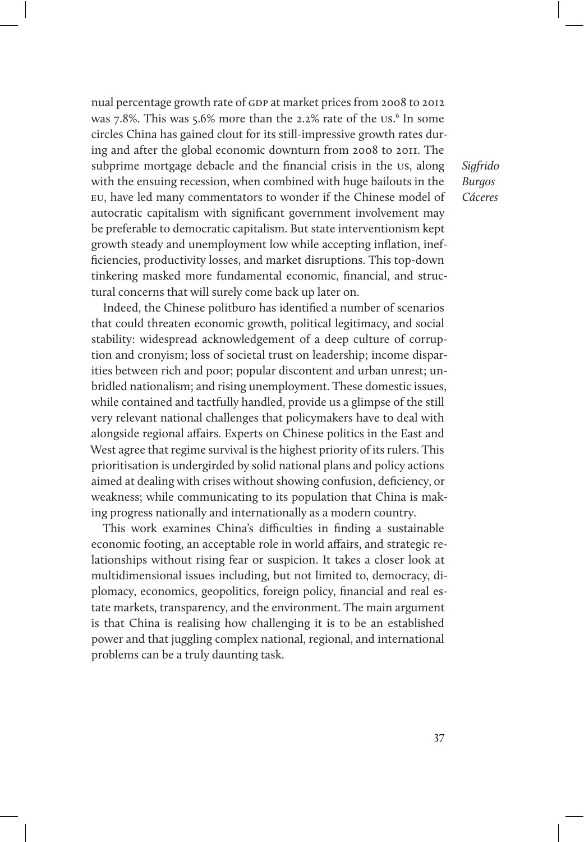nual percentage growth rate of gdp at market prices from 2008 to 2012 was 7.8%. This was 5.6% more than the 2.2% rate of the us.<sup>6</sup> In some circles China has gained clout for its still-impressive growth rates during and after the global economic downturn from 2008 to 2011. The subprime mortgage debacle and the financial crisis in the us, along with the ensuing recession, when combined with huge bailouts in the eu, have led many commentators to wonder if the Chinese model of autocratic capitalism with significant government involvement may be preferable to democratic capitalism. But state interventionism kept growth steady and unemployment low while accepting inflation, inefficiencies, productivity losses, and market disruptions. This top-down tinkering masked more fundamental economic, financial, and structural concerns that will surely come back up later on.

Indeed, the Chinese politburo has identified a number of scenarios that could threaten economic growth, political legitimacy, and social stability: widespread acknowledgement of a deep culture of corruption and cronyism; loss of societal trust on leadership; income disparities between rich and poor; popular discontent and urban unrest; unbridled nationalism; and rising unemployment. These domestic issues, while contained and tactfully handled, provide us a glimpse of the still very relevant national challenges that policymakers have to deal with alongside regional affairs. Experts on Chinese politics in the East and West agree that regime survival is the highest priority of its rulers. This prioritisation is undergirded by solid national plans and policy actions aimed at dealing with crises without showing confusion, deficiency, or weakness; while communicating to its population that China is making progress nationally and internationally as a modern country.

This work examines China's difficulties in finding a sustainable economic footing, an acceptable role in world affairs, and strategic relationships without rising fear or suspicion. It takes a closer look at multidimensional issues including, but not limited to, democracy, diplomacy, economics, geopolitics, foreign policy, financial and real estate markets, transparency, and the environment. The main argument is that China is realising how challenging it is to be an established power and that juggling complex national, regional, and international problems can be a truly daunting task.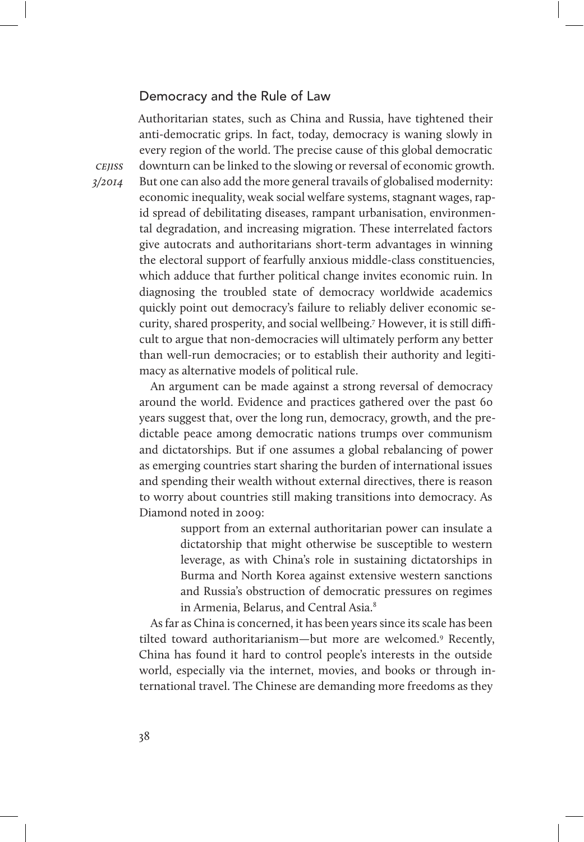## Democracy and the Rule of Law

Authoritarian states, such as China and Russia, have tightened their anti-democratic grips. In fact, today, democracy is waning slowly in every region of the world. The precise cause of this global democratic downturn can be linked to the slowing or reversal of economic growth. But one can also add the more general travails of globalised modernity: economic inequality, weak social welfare systems, stagnant wages, rapid spread of debilitating diseases, rampant urbanisation, environmental degradation, and increasing migration. These interrelated factors give autocrats and authoritarians short-term advantages in winning the electoral support of fearfully anxious middle-class constituencies, which adduce that further political change invites economic ruin. In diagnosing the troubled state of democracy worldwide academics quickly point out democracy's failure to reliably deliver economic security, shared prosperity, and social wellbeing.<sup>7</sup> However, it is still difficult to argue that non-democracies will ultimately perform any better than well-run democracies; or to establish their authority and legitimacy as alternative models of political rule.

An argument can be made against a strong reversal of democracy around the world. Evidence and practices gathered over the past 60 years suggest that, over the long run, democracy, growth, and the predictable peace among democratic nations trumps over communism and dictatorships. But if one assumes a global rebalancing of power as emerging countries start sharing the burden of international issues and spending their wealth without external directives, there is reason to worry about countries still making transitions into democracy. As Diamond noted in 2009:

> support from an external authoritarian power can insulate a dictatorship that might otherwise be susceptible to western leverage, as with China's role in sustaining dictatorships in Burma and North Korea against extensive western sanctions and Russia's obstruction of democratic pressures on regimes in Armenia, Belarus, and Central Asia.<sup>8</sup>

As far as China is concerned, it has been years since its scale has been tilted toward authoritarianism—but more are welcomed.9 Recently, China has found it hard to control people's interests in the outside world, especially via the internet, movies, and books or through international travel. The Chinese are demanding more freedoms as they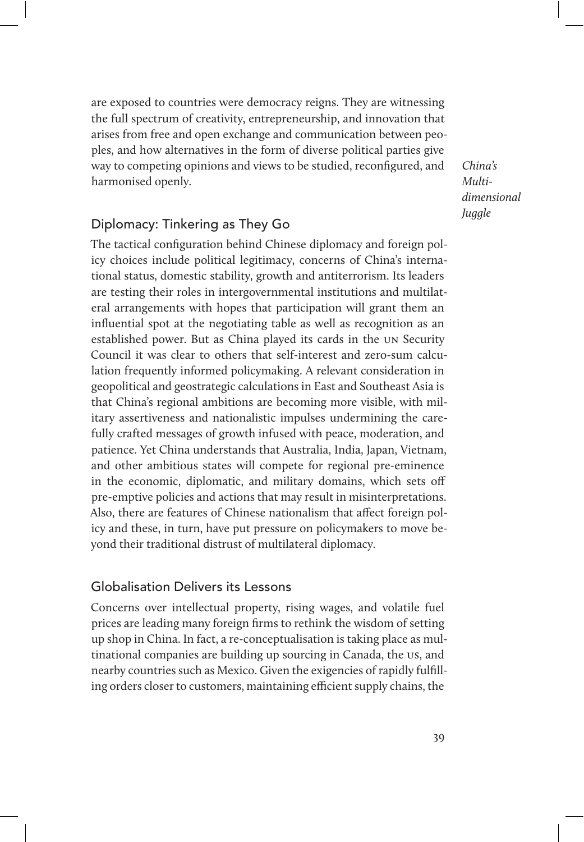are exposed to countries were democracy reigns. They are witnessing the full spectrum of creativity, entrepreneurship, and innovation that arises from free and open exchange and communication between peoples, and how alternatives in the form of diverse political parties give way to competing opinions and views to be studied, reconfigured, and harmonised openly.

China's Multidimensional **Juggle** 

# Diplomacy: Tinkering as They Go

The tactical configuration behind Chinese diplomacy and foreign policy choices include political legitimacy, concerns of China's international status, domestic stability, growth and antiterrorism. Its leaders are testing their roles in intergovernmental institutions and multilateral arrangements with hopes that participation will grant them an influential spot at the negotiating table as well as recognition as an established power. But as China played its cards in the un Security Council it was clear to others that self-interest and zero-sum calculation frequently informed policymaking. A relevant consideration in geopolitical and geostrategic calculations in East and Southeast Asia is that China's regional ambitions are becoming more visible, with military assertiveness and nationalistic impulses undermining the carefully crafted messages of growth infused with peace, moderation, and patience. Yet China understands that Australia, India, Japan, Vietnam, and other ambitious states will compete for regional pre-eminence in the economic, diplomatic, and military domains, which sets off pre-emptive policies and actions that may result in misinterpretations. Also, there are features of Chinese nationalism that affect foreign policy and these, in turn, have put pressure on policymakers to move beyond their traditional distrust of multilateral diplomacy.

#### Globalisation Delivers its Lessons

Concerns over intellectual property, rising wages, and volatile fuel prices are leading many foreign firms to rethink the wisdom of setting up shop in China. In fact, a re-conceptualisation is taking place as multinational companies are building up sourcing in Canada, the us, and nearby countries such as Mexico. Given the exigencies of rapidly fulfilling orders closer to customers, maintaining efficient supply chains, the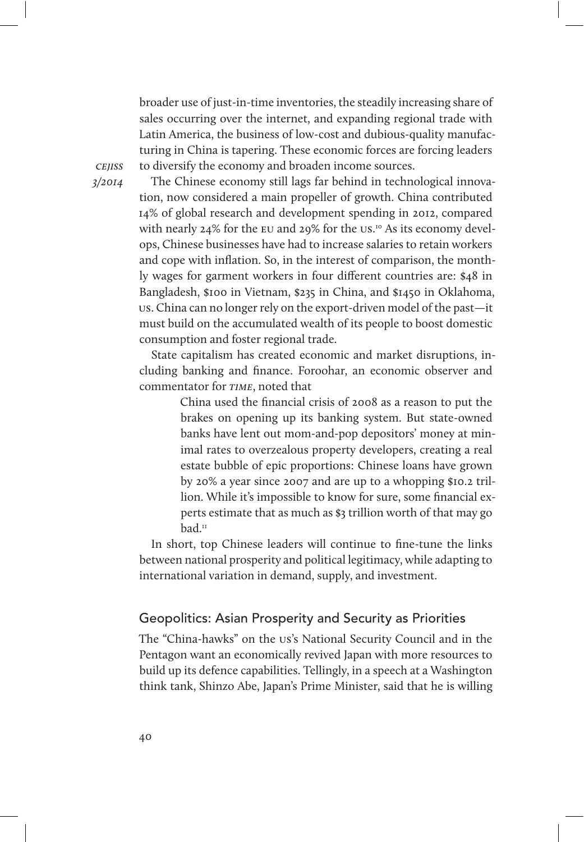broader use of just-in-time inventories, the steadily increasing share of sales occurring over the internet, and expanding regional trade with Latin America, the business of low-cost and dubious-quality manufacturing in China is tapering. These economic forces are forcing leaders to diversify the economy and broaden income sources.

**CEIISS** 3/2014

The Chinese economy still lags far behind in technological innovation, now considered a main propeller of growth. China contributed 14% of global research and development spending in 2012, compared with nearly 24% for the eu and 29% for the us. 10 As its economy develops, Chinese businesses have had to increase salaries to retain workers and cope with inflation. So, in the interest of comparison, the monthly wages for garment workers in four different countries are: \$48 in Bangladesh, \$100 in Vietnam, \$235 in China, and \$1450 in Oklahoma, us. China can no longer rely on the export-driven model of the past—it must build on the accumulated wealth of its people to boost domestic consumption and foster regional trade.

State capitalism has created economic and market disruptions, including banking and finance. Foroohar, an economic observer and commentator for TIME, noted that

> China used the financial crisis of 2008 as a reason to put the brakes on opening up its banking system. But state-owned banks have lent out mom-and-pop depositors' money at minimal rates to overzealous property developers, creating a real estate bubble of epic proportions: Chinese loans have grown by 20% a year since 2007 and are up to a whopping \$10.2 trillion. While it's impossible to know for sure, some financial experts estimate that as much as \$3 trillion worth of that may go bad.11

In short, top Chinese leaders will continue to fine-tune the links between national prosperity and political legitimacy, while adapting to international variation in demand, supply, and investment.

## Geopolitics: Asian Prosperity and Security as Priorities

The "China-hawks" on the us's National Security Council and in the Pentagon want an economically revived Japan with more resources to build up its defence capabilities. Tellingly, in a speech at a Washington think tank, Shinzo Abe, Japan's Prime Minister, said that he is willing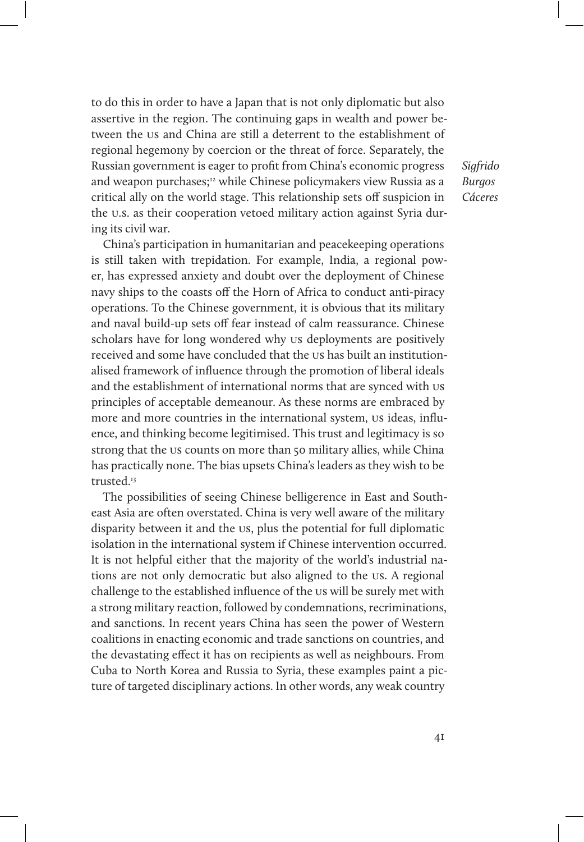to do this in order to have a Japan that is not only diplomatic but also assertive in the region. The continuing gaps in wealth and power between the us and China are still a deterrent to the establishment of regional hegemony by coercion or the threat of force. Separately, the Russian government is eager to profit from China's economic progress and weapon purchases;<sup>12</sup> while Chinese policymakers view Russia as a critical ally on the world stage. This relationship sets off suspicion in the u.s. as their cooperation vetoed military action against Syria during its civil war.

China's participation in humanitarian and peacekeeping operations is still taken with trepidation. For example, India, a regional power, has expressed anxiety and doubt over the deployment of Chinese navy ships to the coasts off the Horn of Africa to conduct anti-piracy operations. To the Chinese government, it is obvious that its military and naval build-up sets off fear instead of calm reassurance. Chinese scholars have for long wondered why us deployments are positively received and some have concluded that the us has built an institutionalised framework of influence through the promotion of liberal ideals and the establishment of international norms that are synced with us principles of acceptable demeanour. As these norms are embraced by more and more countries in the international system, us ideas, influence, and thinking become legitimised. This trust and legitimacy is so strong that the us counts on more than 50 military allies, while China has practically none. The bias upsets China's leaders as they wish to be trusted.<sup>13</sup>

The possibilities of seeing Chinese belligerence in East and Southeast Asia are often overstated. China is very well aware of the military disparity between it and the us, plus the potential for full diplomatic isolation in the international system if Chinese intervention occurred. It is not helpful either that the majority of the world's industrial nations are not only democratic but also aligned to the us. A regional challenge to the established influence of the us will be surely met with a strong military reaction, followed by condemnations, recriminations, and sanctions. In recent years China has seen the power of Western coalitions in enacting economic and trade sanctions on countries, and the devastating effect it has on recipients as well as neighbours. From Cuba to North Korea and Russia to Syria, these examples paint a picture of targeted disciplinary actions. In other words, any weak country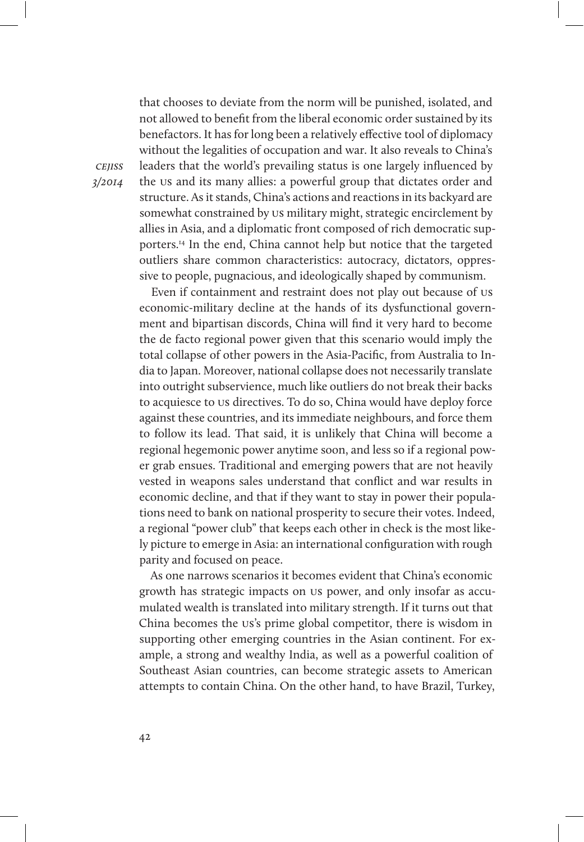that chooses to deviate from the norm will be punished, isolated, and not allowed to benefit from the liberal economic order sustained by its benefactors. It has for long been a relatively effective tool of diplomacy without the legalities of occupation and war. It also reveals to China's leaders that the world's prevailing status is one largely influenced by the us and its many allies: a powerful group that dictates order and structure. As it stands, China's actions and reactions in its backyard are somewhat constrained by us military might, strategic encirclement by allies in Asia, and a diplomatic front composed of rich democratic supporters.14 In the end, China cannot help but notice that the targeted outliers share common characteristics: autocracy, dictators, oppressive to people, pugnacious, and ideologically shaped by communism.

Even if containment and restraint does not play out because of us economic-military decline at the hands of its dysfunctional government and bipartisan discords, China will find it very hard to become the de facto regional power given that this scenario would imply the total collapse of other powers in the Asia-Pacific, from Australia to India to Japan. Moreover, national collapse does not necessarily translate into outright subservience, much like outliers do not break their backs to acquiesce to us directives. To do so, China would have deploy force against these countries, and its immediate neighbours, and force them to follow its lead. That said, it is unlikely that China will become a regional hegemonic power anytime soon, and less so if a regional power grab ensues. Traditional and emerging powers that are not heavily vested in weapons sales understand that conflict and war results in economic decline, and that if they want to stay in power their populations need to bank on national prosperity to secure their votes. Indeed, a regional "power club" that keeps each other in check is the most likely picture to emerge in Asia: an international configuration with rough parity and focused on peace.

As one narrows scenarios it becomes evident that China's economic growth has strategic impacts on us power, and only insofar as accumulated wealth is translated into military strength. If it turns out that China becomes the us's prime global competitor, there is wisdom in supporting other emerging countries in the Asian continent. For example, a strong and wealthy India, as well as a powerful coalition of Southeast Asian countries, can become strategic assets to American attempts to contain China. On the other hand, to have Brazil, Turkey,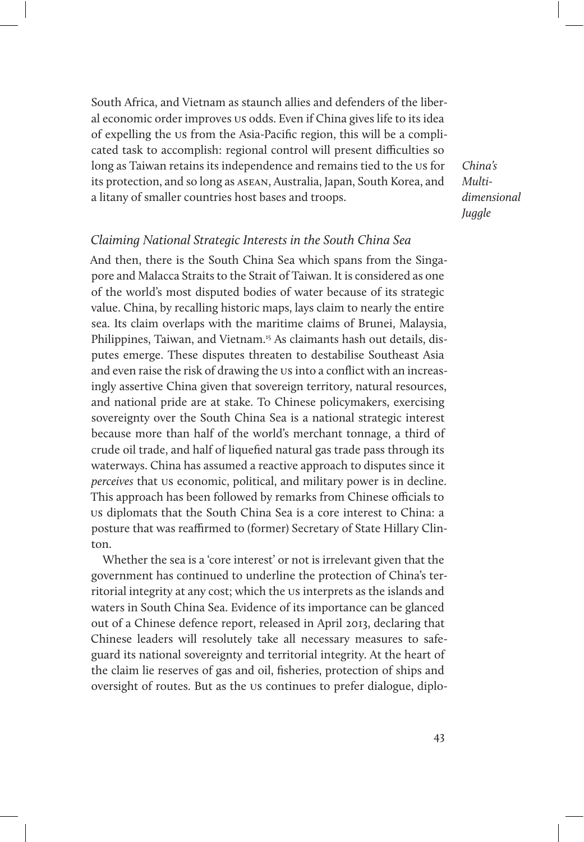South Africa, and Vietnam as staunch allies and defenders of the liberal economic order improves us odds. Even if China gives life to its idea of expelling the us from the Asia-Pacific region, this will be a complicated task to accomplish: regional control will present difficulties so long as Taiwan retains its independence and remains tied to the us for its protection, and so long as asean, Australia, Japan, South Korea, and a litany of smaller countries host bases and troops.

China's Multidimensional **Juggle** 

#### Claiming National Strategic Interests in the South China Sea

And then, there is the South China Sea which spans from the Singapore and Malacca Straits to the Strait of Taiwan. It is considered as one of the world's most disputed bodies of water because of its strategic value. China, by recalling historic maps, lays claim to nearly the entire sea. Its claim overlaps with the maritime claims of Brunei, Malaysia, Philippines, Taiwan, and Vietnam.15 As claimants hash out details, disputes emerge. These disputes threaten to destabilise Southeast Asia and even raise the risk of drawing the us into a conflict with an increasingly assertive China given that sovereign territory, natural resources, and national pride are at stake. To Chinese policymakers, exercising sovereignty over the South China Sea is a national strategic interest because more than half of the world's merchant tonnage, a third of crude oil trade, and half of liquefied natural gas trade pass through its waterways. China has assumed a reactive approach to disputes since it perceives that us economic, political, and military power is in decline. This approach has been followed by remarks from Chinese officials to us diplomats that the South China Sea is a core interest to China: a posture that was reaffirmed to (former) Secretary of State Hillary Clinton.

Whether the sea is a 'core interest' or not is irrelevant given that the government has continued to underline the protection of China's territorial integrity at any cost; which the us interprets as the islands and waters in South China Sea. Evidence of its importance can be glanced out of a Chinese defence report, released in April 2013, declaring that Chinese leaders will resolutely take all necessary measures to safeguard its national sovereignty and territorial integrity. At the heart of the claim lie reserves of gas and oil, fisheries, protection of ships and oversight of routes. But as the us continues to prefer dialogue, diplo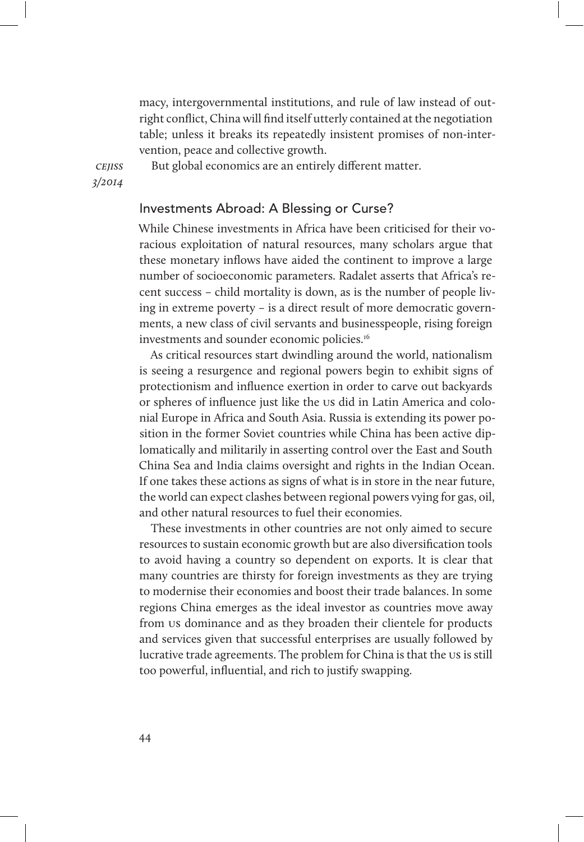macy, intergovernmental institutions, and rule of law instead of outright conflict, China will find itself utterly contained at the negotiation table; unless it breaks its repeatedly insistent promises of non-intervention, peace and collective growth.

**CEIISS** 3/2014 But global economics are an entirely different matter.

#### Investments Abroad: A Blessing or Curse?

While Chinese investments in Africa have been criticised for their voracious exploitation of natural resources, many scholars argue that these monetary inflows have aided the continent to improve a large number of socioeconomic parameters. Radalet asserts that Africa's recent success – child mortality is down, as is the number of people living in extreme poverty – is a direct result of more democratic governments, a new class of civil servants and businesspeople, rising foreign investments and sounder economic policies.16

As critical resources start dwindling around the world, nationalism is seeing a resurgence and regional powers begin to exhibit signs of protectionism and influence exertion in order to carve out backyards or spheres of influence just like the us did in Latin America and colonial Europe in Africa and South Asia. Russia is extending its power position in the former Soviet countries while China has been active diplomatically and militarily in asserting control over the East and South China Sea and India claims oversight and rights in the Indian Ocean. If one takes these actions as signs of what is in store in the near future, the world can expect clashes between regional powers vying for gas, oil, and other natural resources to fuel their economies.

These investments in other countries are not only aimed to secure resources to sustain economic growth but are also diversification tools to avoid having a country so dependent on exports. It is clear that many countries are thirsty for foreign investments as they are trying to modernise their economies and boost their trade balances. In some regions China emerges as the ideal investor as countries move away from us dominance and as they broaden their clientele for products and services given that successful enterprises are usually followed by lucrative trade agreements. The problem for China is that the us is still too powerful, influential, and rich to justify swapping.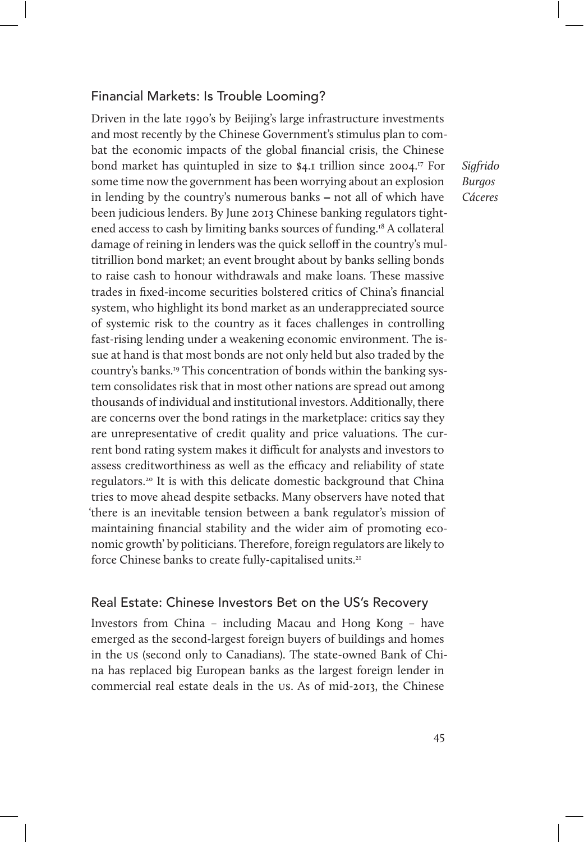#### Financial Markets: Is Trouble Looming?

Driven in the late 1990's by Beijing's large infrastructure investments and most recently by the Chinese Government's stimulus plan to combat the economic impacts of the global financial crisis, the Chinese bond market has quintupled in size to \$4.1 trillion since 2004.<sup>17</sup> For some time now the government has been worrying about an explosion in lending by the country's numerous banks – not all of which have been judicious lenders. By June 2013 Chinese banking regulators tightened access to cash by limiting banks sources of funding.18 A collateral damage of reining in lenders was the quick selloff in the country's multitrillion bond market; an event brought about by banks selling bonds to raise cash to honour withdrawals and make loans. These massive trades in fixed-income securities bolstered critics of China's financial system, who highlight its bond market as an underappreciated source of systemic risk to the country as it faces challenges in controlling fast-rising lending under a weakening economic environment. The issue at hand is that most bonds are not only held but also traded by the country's banks.19 This concentration of bonds within the banking system consolidates risk that in most other nations are spread out among thousands of individual and institutional investors. Additionally, there are concerns over the bond ratings in the marketplace: critics say they are unrepresentative of credit quality and price valuations. The current bond rating system makes it difficult for analysts and investors to assess creditworthiness as well as the efficacy and reliability of state regulators.20 It is with this delicate domestic background that China tries to move ahead despite setbacks. Many observers have noted that 'there is an inevitable tension between a bank regulator's mission of maintaining financial stability and the wider aim of promoting economic growth' by politicians. Therefore, foreign regulators are likely to force Chinese banks to create fully-capitalised units.<sup>21</sup>

#### Real Estate: Chinese Investors Bet on the US's Recovery

Investors from China – including Macau and Hong Kong – have emerged as the second-largest foreign buyers of buildings and homes in the us (second only to Canadians). The state-owned Bank of China has replaced big European banks as the largest foreign lender in commercial real estate deals in the us. As of mid-2013, the Chinese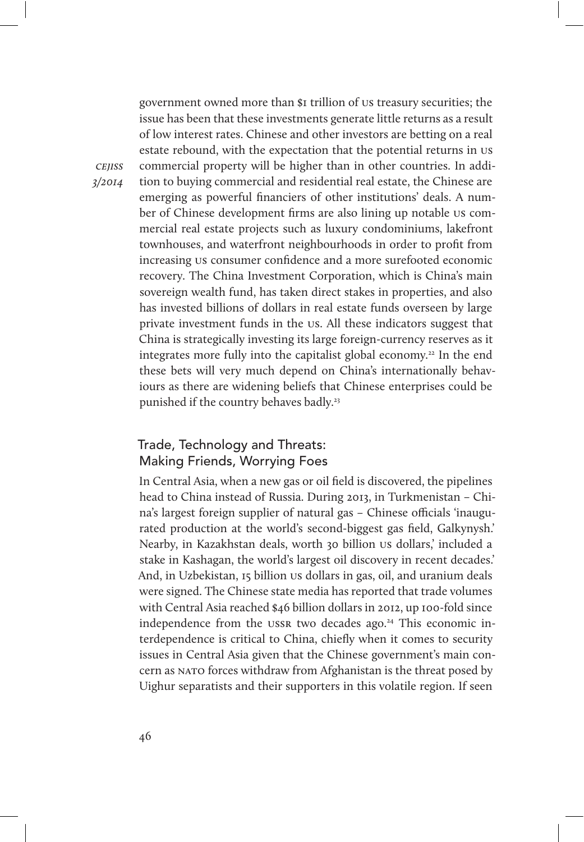government owned more than \$1 trillion of us treasury securities; the issue has been that these investments generate little returns as a result of low interest rates. Chinese and other investors are betting on a real estate rebound, with the expectation that the potential returns in us commercial property will be higher than in other countries. In addition to buying commercial and residential real estate, the Chinese are emerging as powerful financiers of other institutions' deals. A number of Chinese development firms are also lining up notable us commercial real estate projects such as luxury condominiums, lakefront townhouses, and waterfront neighbourhoods in order to profit from increasing us consumer confidence and a more surefooted economic recovery. The China Investment Corporation, which is China's main sovereign wealth fund, has taken direct stakes in properties, and also has invested billions of dollars in real estate funds overseen by large private investment funds in the us. All these indicators suggest that China is strategically investing its large foreign-currency reserves as it integrates more fully into the capitalist global economy.<sup>22</sup> In the end these bets will very much depend on China's internationally behaviours as there are widening beliefs that Chinese enterprises could be punished if the country behaves badly.<sup>23</sup>

# Trade, Technology and Threats: Making Friends, Worrying Foes

In Central Asia, when a new gas or oil field is discovered, the pipelines head to China instead of Russia. During 2013, in Turkmenistan – China's largest foreign supplier of natural gas - Chinese officials 'inaugurated production at the world's second-biggest gas field, Galkynysh.' Nearby, in Kazakhstan deals, worth 30 billion us dollars,' included a stake in Kashagan, the world's largest oil discovery in recent decades.' And, in Uzbekistan, 15 billion us dollars in gas, oil, and uranium deals were signed. The Chinese state media has reported that trade volumes with Central Asia reached \$46 billion dollars in 2012, up 100-fold since independence from the ussn two decades ago.<sup>24</sup> This economic interdependence is critical to China, chiefly when it comes to security issues in Central Asia given that the Chinese government's main concern as nato forces withdraw from Afghanistan is the threat posed by Uighur separatists and their supporters in this volatile region. If seen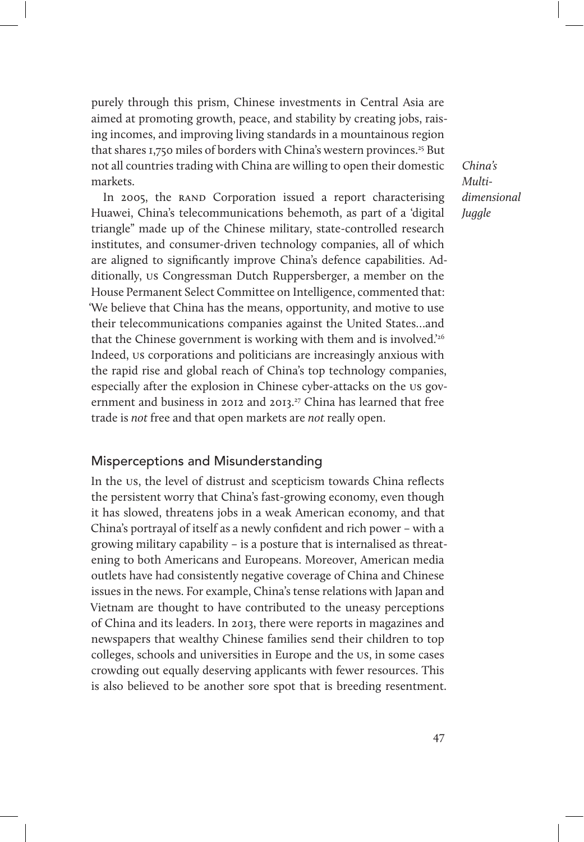purely through this prism, Chinese investments in Central Asia are aimed at promoting growth, peace, and stability by creating jobs, raising incomes, and improving living standards in a mountainous region that shares 1,750 miles of borders with China's western provinces.<sup>25</sup> But not all countries trading with China are willing to open their domestic markets.

In 2005, the RAND Corporation issued a report characterising Huawei, China's telecommunications behemoth, as part of a 'digital triangle" made up of the Chinese military, state-controlled research institutes, and consumer-driven technology companies, all of which are aligned to significantly improve China's defence capabilities. Additionally, us Congressman Dutch Ruppersberger, a member on the House Permanent Select Committee on Intelligence, commented that: 'We believe that China has the means, opportunity, and motive to use their telecommunications companies against the United States…and that the Chinese government is working with them and is involved.'26 Indeed, us corporations and politicians are increasingly anxious with the rapid rise and global reach of China's top technology companies, especially after the explosion in Chinese cyber-attacks on the us government and business in 2012 and 2013.<sup>27</sup> China has learned that free trade is not free and that open markets are not really open.

Misperceptions and Misunderstanding

In the us, the level of distrust and scepticism towards China reflects the persistent worry that China's fast-growing economy, even though it has slowed, threatens jobs in a weak American economy, and that China's portrayal of itself as a newly confident and rich power – with a growing military capability – is a posture that is internalised as threatening to both Americans and Europeans. Moreover, American media outlets have had consistently negative coverage of China and Chinese issues in the news. For example, China's tense relations with Japan and Vietnam are thought to have contributed to the uneasy perceptions of China and its leaders. In 2013, there were reports in magazines and newspapers that wealthy Chinese families send their children to top colleges, schools and universities in Europe and the us, in some cases crowding out equally deserving applicants with fewer resources. This is also believed to be another sore spot that is breeding resentment.

China's Multidimensional *Juggle*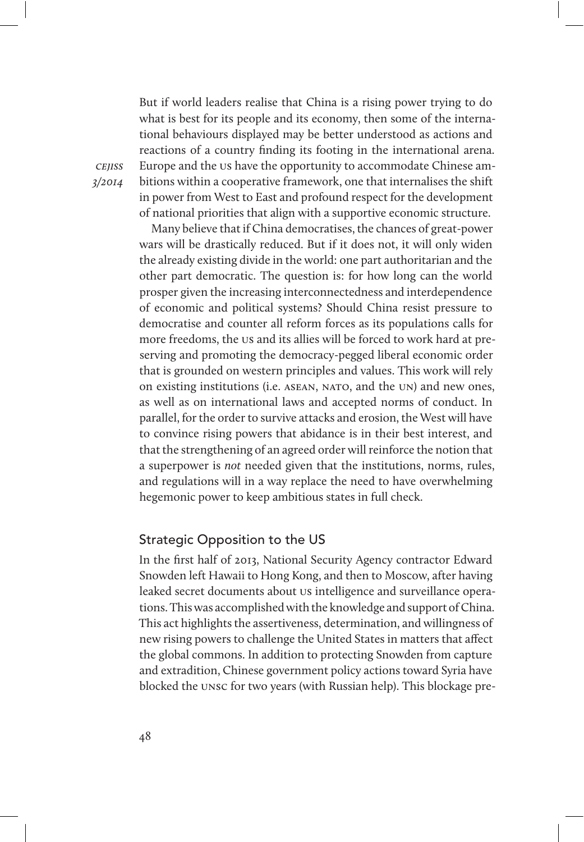But if world leaders realise that China is a rising power trying to do what is best for its people and its economy, then some of the international behaviours displayed may be better understood as actions and reactions of a country finding its footing in the international arena. Europe and the us have the opportunity to accommodate Chinese ambitions within a cooperative framework, one that internalises the shift in power from West to East and profound respect for the development of national priorities that align with a supportive economic structure.

Many believe that if China democratises, the chances of great-power wars will be drastically reduced. But if it does not, it will only widen the already existing divide in the world: one part authoritarian and the other part democratic. The question is: for how long can the world prosper given the increasing interconnectedness and interdependence of economic and political systems? Should China resist pressure to democratise and counter all reform forces as its populations calls for more freedoms, the us and its allies will be forced to work hard at preserving and promoting the democracy-pegged liberal economic order that is grounded on western principles and values. This work will rely on existing institutions (i.e. ASEAN, NATO, and the UN) and new ones, as well as on international laws and accepted norms of conduct. In parallel, for the order to survive attacks and erosion, the West will have to convince rising powers that abidance is in their best interest, and that the strengthening of an agreed order will reinforce the notion that a superpower is not needed given that the institutions, norms, rules, and regulations will in a way replace the need to have overwhelming hegemonic power to keep ambitious states in full check.

#### Strategic Opposition to the US

In the first half of 2013, National Security Agency contractor Edward Snowden left Hawaii to Hong Kong, and then to Moscow, after having leaked secret documents about us intelligence and surveillance operations. This was accomplished with the knowledge and support of China. This act highlights the assertiveness, determination, and willingness of new rising powers to challenge the United States in matters that affect the global commons. In addition to protecting Snowden from capture and extradition, Chinese government policy actions toward Syria have blocked the unsc for two years (with Russian help). This blockage pre-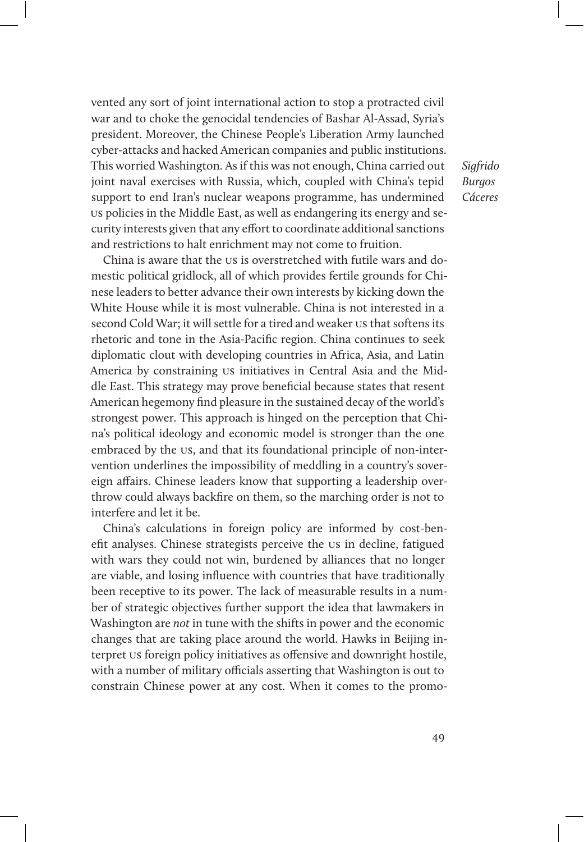vented any sort of joint international action to stop a protracted civil war and to choke the genocidal tendencies of Bashar Al-Assad, Syria's president. Moreover, the Chinese People's Liberation Army launched cyber-attacks and hacked American companies and public institutions. This worried Washington. As if this was not enough, China carried out joint naval exercises with Russia, which, coupled with China's tepid support to end Iran's nuclear weapons programme, has undermined us policies in the Middle East, as well as endangering its energy and security interests given that any effort to coordinate additional sanctions and restrictions to halt enrichment may not come to fruition.

China is aware that the us is overstretched with futile wars and domestic political gridlock, all of which provides fertile grounds for Chinese leaders to better advance their own interests by kicking down the White House while it is most vulnerable. China is not interested in a second Cold War; it will settle for a tired and weaker us that softens its rhetoric and tone in the Asia-Pacific region. China continues to seek diplomatic clout with developing countries in Africa, Asia, and Latin America by constraining us initiatives in Central Asia and the Middle East. This strategy may prove beneficial because states that resent American hegemony find pleasure in the sustained decay of the world's strongest power. This approach is hinged on the perception that China's political ideology and economic model is stronger than the one embraced by the us, and that its foundational principle of non-intervention underlines the impossibility of meddling in a country's sovereign affairs. Chinese leaders know that supporting a leadership overthrow could always backfire on them, so the marching order is not to interfere and let it be.

China's calculations in foreign policy are informed by cost-benefit analyses. Chinese strategists perceive the us in decline, fatigued with wars they could not win, burdened by alliances that no longer are viable, and losing influence with countries that have traditionally been receptive to its power. The lack of measurable results in a number of strategic objectives further support the idea that lawmakers in Washington are not in tune with the shifts in power and the economic changes that are taking place around the world. Hawks in Beijing interpret us foreign policy initiatives as offensive and downright hostile, with a number of military officials asserting that Washington is out to constrain Chinese power at any cost. When it comes to the promo-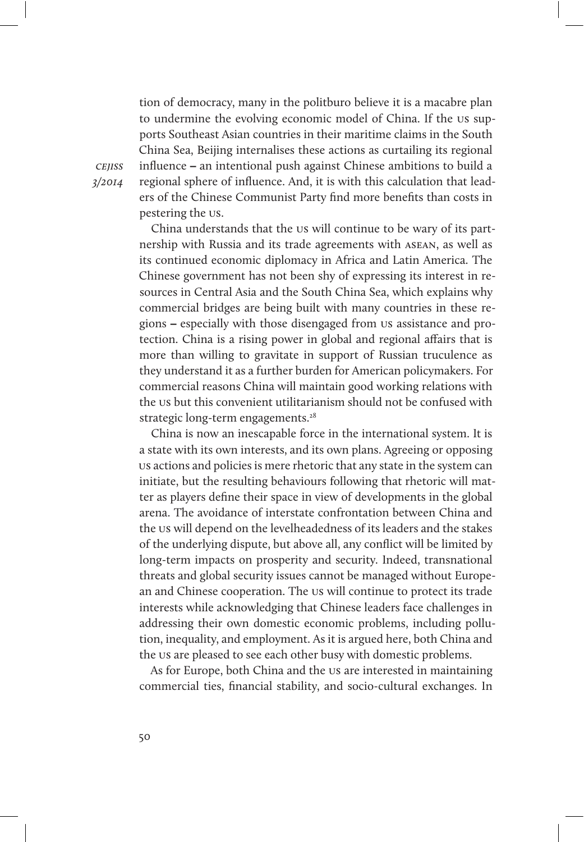tion of democracy, many in the politburo believe it is a macabre plan to undermine the evolving economic model of China. If the us supports Southeast Asian countries in their maritime claims in the South China Sea, Beijing internalises these actions as curtailing its regional influence – an intentional push against Chinese ambitions to build a regional sphere of influence. And, it is with this calculation that leaders of the Chinese Communist Party find more benefits than costs in pestering the us.

China understands that the us will continue to be wary of its partnership with Russia and its trade agreements with asean, as well as its continued economic diplomacy in Africa and Latin America. The Chinese government has not been shy of expressing its interest in resources in Central Asia and the South China Sea, which explains why commercial bridges are being built with many countries in these regions – especially with those disengaged from us assistance and protection. China is a rising power in global and regional affairs that is more than willing to gravitate in support of Russian truculence as they understand it as a further burden for American policymakers. For commercial reasons China will maintain good working relations with the us but this convenient utilitarianism should not be confused with strategic long-term engagements.<sup>28</sup>

China is now an inescapable force in the international system. It is a state with its own interests, and its own plans. Agreeing or opposing us actions and policies is mere rhetoric that any state in the system can initiate, but the resulting behaviours following that rhetoric will matter as players define their space in view of developments in the global arena. The avoidance of interstate confrontation between China and the us will depend on the levelheadedness of its leaders and the stakes of the underlying dispute, but above all, any conflict will be limited by long-term impacts on prosperity and security. Indeed, transnational threats and global security issues cannot be managed without European and Chinese cooperation. The us will continue to protect its trade interests while acknowledging that Chinese leaders face challenges in addressing their own domestic economic problems, including pollution, inequality, and employment. As it is argued here, both China and the us are pleased to see each other busy with domestic problems.

As for Europe, both China and the us are interested in maintaining commercial ties, financial stability, and socio-cultural exchanges. In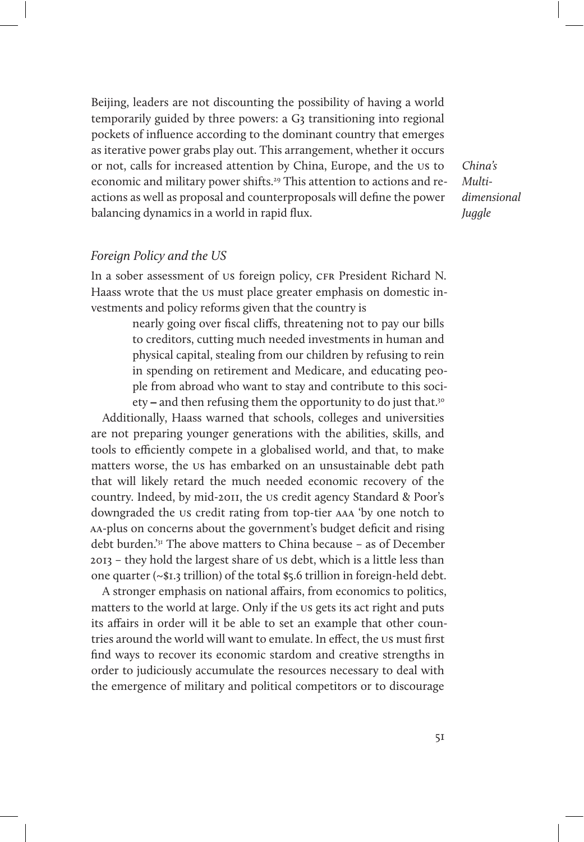Beijing, leaders are not discounting the possibility of having a world temporarily guided by three powers: a G3 transitioning into regional pockets of influence according to the dominant country that emerges as iterative power grabs play out. This arrangement, whether it occurs or not, calls for increased attention by China, Europe, and the us to economic and military power shifts.<sup>29</sup> This attention to actions and reactions as well as proposal and counterproposals will define the power balancing dynamics in a world in rapid flux.

China's Multidimensional **Juggle** 

#### Foreign Policy and the US

In a sober assessment of us foreign policy, CFR President Richard N. Haass wrote that the us must place greater emphasis on domestic investments and policy reforms given that the country is

> nearly going over fiscal cliffs, threatening not to pay our bills to creditors, cutting much needed investments in human and physical capital, stealing from our children by refusing to rein in spending on retirement and Medicare, and educating people from abroad who want to stay and contribute to this society – and then refusing them the opportunity to do just that.<sup>30</sup>

Additionally, Haass warned that schools, colleges and universities are not preparing younger generations with the abilities, skills, and tools to efficiently compete in a globalised world, and that, to make matters worse, the us has embarked on an unsustainable debt path that will likely retard the much needed economic recovery of the country. Indeed, by mid-2011, the us credit agency Standard & Poor's downgraded the us credit rating from top-tier aaa 'by one notch to aa-plus on concerns about the government's budget deficit and rising debt burden.'31 The above matters to China because – as of December 2013 – they hold the largest share of us debt, which is a little less than one quarter (~\$1.3 trillion) of the total \$5.6 trillion in foreign-held debt.

A stronger emphasis on national affairs, from economics to politics, matters to the world at large. Only if the us gets its act right and puts its affairs in order will it be able to set an example that other countries around the world will want to emulate. In effect, the us must first find ways to recover its economic stardom and creative strengths in order to judiciously accumulate the resources necessary to deal with the emergence of military and political competitors or to discourage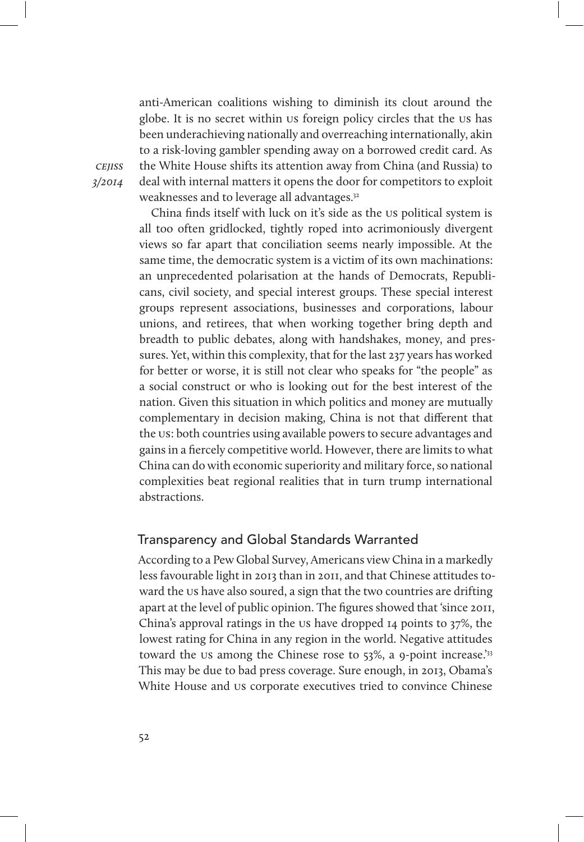anti-American coalitions wishing to diminish its clout around the globe. It is no secret within us foreign policy circles that the us has been underachieving nationally and overreaching internationally, akin to a risk-loving gambler spending away on a borrowed credit card. As the White House shifts its attention away from China (and Russia) to deal with internal matters it opens the door for competitors to exploit weaknesses and to leverage all advantages.32

**CEIISS** 3/2014

> China finds itself with luck on it's side as the us political system is all too often gridlocked, tightly roped into acrimoniously divergent views so far apart that conciliation seems nearly impossible. At the same time, the democratic system is a victim of its own machinations: an unprecedented polarisation at the hands of Democrats, Republicans, civil society, and special interest groups. These special interest groups represent associations, businesses and corporations, labour unions, and retirees, that when working together bring depth and breadth to public debates, along with handshakes, money, and pressures. Yet, within this complexity, that for the last 237 years has worked for better or worse, it is still not clear who speaks for "the people" as a social construct or who is looking out for the best interest of the nation. Given this situation in which politics and money are mutually complementary in decision making, China is not that different that the us: both countries using available powers to secure advantages and gains in a fiercely competitive world. However, there are limits to what China can do with economic superiority and military force, so national complexities beat regional realities that in turn trump international abstractions.

#### Transparency and Global Standards Warranted

According to a Pew Global Survey, Americans view China in a markedly less favourable light in 2013 than in 2011, and that Chinese attitudes toward the us have also soured, a sign that the two countries are drifting apart at the level of public opinion. The figures showed that 'since 2011, China's approval ratings in the us have dropped 14 points to 37%, the lowest rating for China in any region in the world. Negative attitudes toward the us among the Chinese rose to 53%, a 9-point increase.<sup>'33</sup> This may be due to bad press coverage. Sure enough, in 2013, Obama's White House and us corporate executives tried to convince Chinese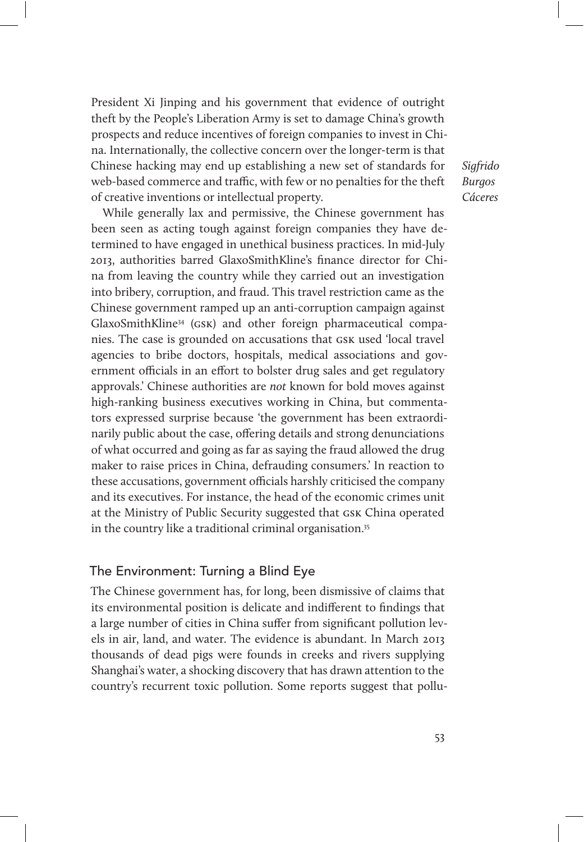President Xi Jinping and his government that evidence of outright theft by the People's Liberation Army is set to damage China's growth prospects and reduce incentives of foreign companies to invest in China. Internationally, the collective concern over the longer-term is that Chinese hacking may end up establishing a new set of standards for web-based commerce and traffic, with few or no penalties for the theft of creative inventions or intellectual property.

While generally lax and permissive, the Chinese government has been seen as acting tough against foreign companies they have determined to have engaged in unethical business practices. In mid-July 2013, authorities barred GlaxoSmithKline's finance director for China from leaving the country while they carried out an investigation into bribery, corruption, and fraud. This travel restriction came as the Chinese government ramped up an anti-corruption campaign against GlaxoSmithKline34 (gsk) and other foreign pharmaceutical companies. The case is grounded on accusations that gsk used 'local travel agencies to bribe doctors, hospitals, medical associations and government officials in an effort to bolster drug sales and get regulatory approvals.' Chinese authorities are not known for bold moves against high-ranking business executives working in China, but commentators expressed surprise because 'the government has been extraordinarily public about the case, offering details and strong denunciations of what occurred and going as far as saying the fraud allowed the drug maker to raise prices in China, defrauding consumers.' In reaction to these accusations, government officials harshly criticised the company and its executives. For instance, the head of the economic crimes unit at the Ministry of Public Security suggested that gsk China operated in the country like a traditional criminal organisation.<sup>35</sup>

#### The Environment: Turning a Blind Eye

The Chinese government has, for long, been dismissive of claims that its environmental position is delicate and indifferent to findings that a large number of cities in China suffer from significant pollution levels in air, land, and water. The evidence is abundant. In March 2013 thousands of dead pigs were founds in creeks and rivers supplying Shanghai's water, a shocking discovery that has drawn attention to the country's recurrent toxic pollution. Some reports suggest that pollu-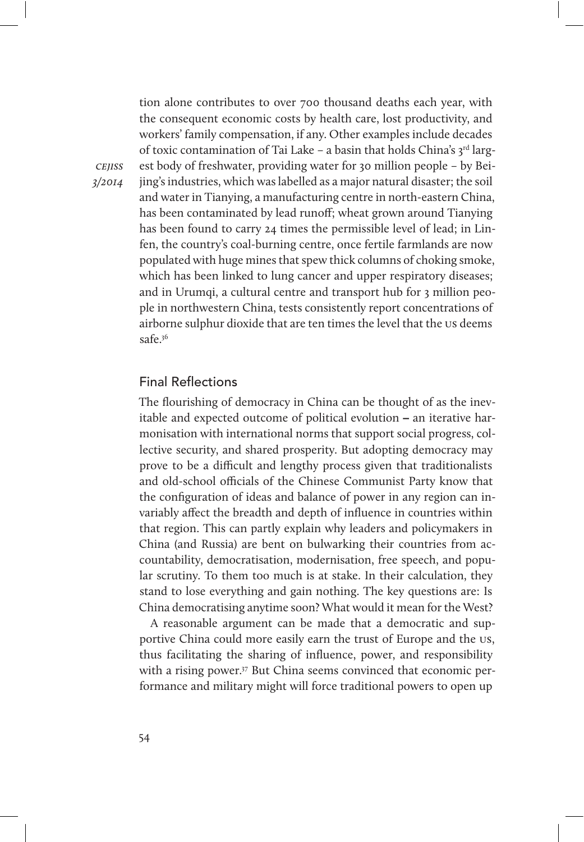tion alone contributes to over 700 thousand deaths each year, with the consequent economic costs by health care, lost productivity, and workers' family compensation, if any. Other examples include decades of toxic contamination of Tai Lake - a basin that holds China's 3rd largest body of freshwater, providing water for 30 million people – by Beijing's industries, which was labelled as a major natural disaster; the soil and water in Tianying, a manufacturing centre in north-eastern China, has been contaminated by lead runoff; wheat grown around Tianying has been found to carry 24 times the permissible level of lead; in Linfen, the country's coal-burning centre, once fertile farmlands are now populated with huge mines that spew thick columns of choking smoke, which has been linked to lung cancer and upper respiratory diseases; and in Urumqi, a cultural centre and transport hub for 3 million people in northwestern China, tests consistently report concentrations of airborne sulphur dioxide that are ten times the level that the us deems safe.36

#### Final Reflections

The flourishing of democracy in China can be thought of as the inevitable and expected outcome of political evolution – an iterative harmonisation with international norms that support social progress, collective security, and shared prosperity. But adopting democracy may prove to be a difcult and lengthy process given that traditionalists and old-school officials of the Chinese Communist Party know that the configuration of ideas and balance of power in any region can invariably affect the breadth and depth of influence in countries within that region. This can partly explain why leaders and policymakers in China (and Russia) are bent on bulwarking their countries from accountability, democratisation, modernisation, free speech, and popular scrutiny. To them too much is at stake. In their calculation, they stand to lose everything and gain nothing. The key questions are: Is China democratising anytime soon? What would it mean for the West?

A reasonable argument can be made that a democratic and supportive China could more easily earn the trust of Europe and the us, thus facilitating the sharing of influence, power, and responsibility with a rising power.<sup>37</sup> But China seems convinced that economic performance and military might will force traditional powers to open up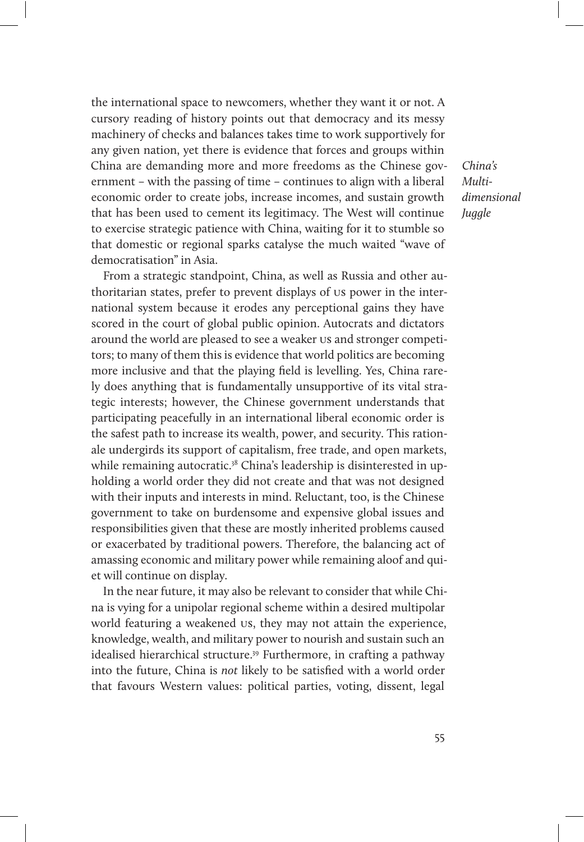the international space to newcomers, whether they want it or not. A cursory reading of history points out that democracy and its messy machinery of checks and balances takes time to work supportively for any given nation, yet there is evidence that forces and groups within China are demanding more and more freedoms as the Chinese government – with the passing of time – continues to align with a liberal economic order to create jobs, increase incomes, and sustain growth that has been used to cement its legitimacy. The West will continue to exercise strategic patience with China, waiting for it to stumble so that domestic or regional sparks catalyse the much waited "wave of democratisation" in Asia.

From a strategic standpoint, China, as well as Russia and other authoritarian states, prefer to prevent displays of us power in the international system because it erodes any perceptional gains they have scored in the court of global public opinion. Autocrats and dictators around the world are pleased to see a weaker us and stronger competitors; to many of them this is evidence that world politics are becoming more inclusive and that the playing field is levelling. Yes, China rarely does anything that is fundamentally unsupportive of its vital strategic interests; however, the Chinese government understands that participating peacefully in an international liberal economic order is the safest path to increase its wealth, power, and security. This rationale undergirds its support of capitalism, free trade, and open markets, while remaining autocratic.<sup>38</sup> China's leadership is disinterested in upholding a world order they did not create and that was not designed with their inputs and interests in mind. Reluctant, too, is the Chinese government to take on burdensome and expensive global issues and responsibilities given that these are mostly inherited problems caused or exacerbated by traditional powers. Therefore, the balancing act of amassing economic and military power while remaining aloof and quiet will continue on display.

In the near future, it may also be relevant to consider that while China is vying for a unipolar regional scheme within a desired multipolar world featuring a weakened us, they may not attain the experience, knowledge, wealth, and military power to nourish and sustain such an idealised hierarchical structure.39 Furthermore, in crafting a pathway into the future, China is not likely to be satisfied with a world order that favours Western values: political parties, voting, dissent, legal

China's Multidimensional *Juggle*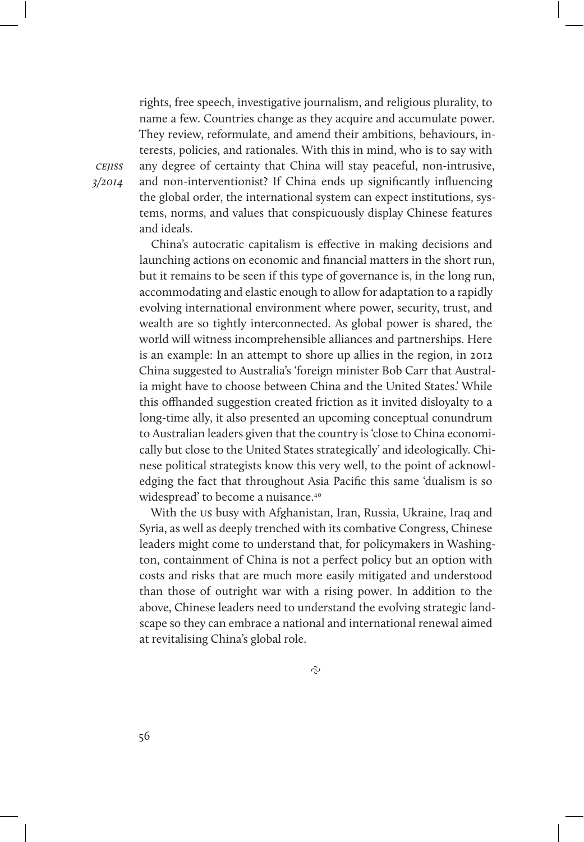rights, free speech, investigative journalism, and religious plurality, to name a few. Countries change as they acquire and accumulate power. They review, reformulate, and amend their ambitions, behaviours, interests, policies, and rationales. With this in mind, who is to say with any degree of certainty that China will stay peaceful, non-intrusive, and non-interventionist? If China ends up significantly influencing the global order, the international system can expect institutions, systems, norms, and values that conspicuously display Chinese features and ideals.

China's autocratic capitalism is effective in making decisions and launching actions on economic and financial matters in the short run, but it remains to be seen if this type of governance is, in the long run, accommodating and elastic enough to allow for adaptation to a rapidly evolving international environment where power, security, trust, and wealth are so tightly interconnected. As global power is shared, the world will witness incomprehensible alliances and partnerships. Here is an example: In an attempt to shore up allies in the region, in 2012 China suggested to Australia's 'foreign minister Bob Carr that Australia might have to choose between China and the United States.' While this offhanded suggestion created friction as it invited disloyalty to a long-time ally, it also presented an upcoming conceptual conundrum to Australian leaders given that the country is 'close to China economically but close to the United States strategically' and ideologically. Chinese political strategists know this very well, to the point of acknowledging the fact that throughout Asia Pacific this same 'dualism is so widespread' to become a nuisance.40

With the us busy with Afghanistan, Iran, Russia, Ukraine, Iraq and Syria, as well as deeply trenched with its combative Congress, Chinese leaders might come to understand that, for policymakers in Washington, containment of China is not a perfect policy but an option with costs and risks that are much more easily mitigated and understood than those of outright war with a rising power. In addition to the above, Chinese leaders need to understand the evolving strategic landscape so they can embrace a national and international renewal aimed at revitalising China's global role.

 $\tilde{c}$ 

cejiss 3/2014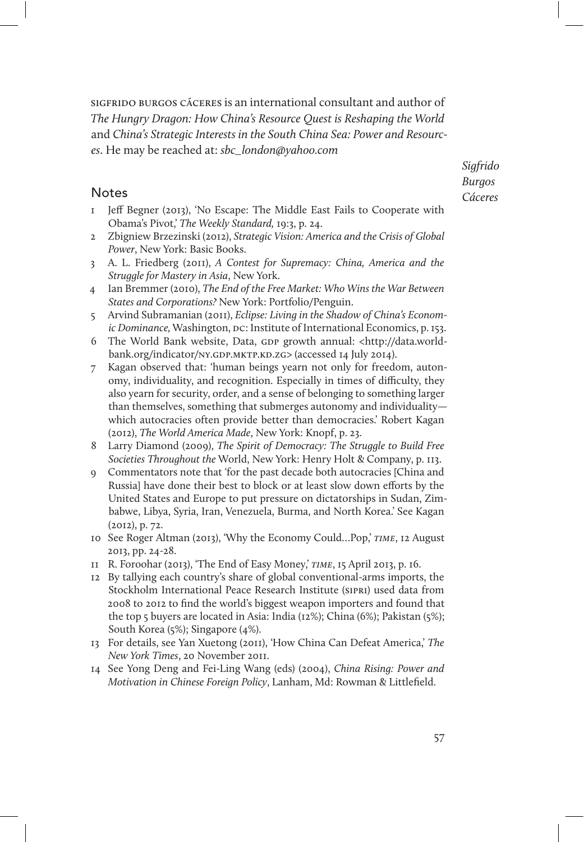sigfrido burgos cáceres is an international consultant and author of The Hungry Dragon: How China's Resource Quest is Reshaping the World and China's Strategic Interests in the South China Sea: Power and Resources. He may be reached at: sbc\_london@yahoo.com

#### **Notes**

- 1 Jeff Begner (2013), 'No Escape: The Middle East Fails to Cooperate with Obama's Pivot,' The Weekly Standard, 19:3, p. 24.
- 2 Zbigniew Brzezinski (2012), Strategic Vision: America and the Crisis of Global Power, New York: Basic Books.
- 3 A. L. Friedberg (2011), A Contest for Supremacy: China, America and the Struggle for Mastery in Asia, New York.
- 4 Ian Bremmer (2010), The End of the Free Market: Who Wins the War Between States and Corporations? New York: Portfolio/Penguin.
- 5 Arvind Subramanian (2011), Eclipse: Living in the Shadow of China's Economic Dominance, Washington, pc: Institute of International Economics, p. 153.
- 6 The World Bank website, Data, GDP growth annual: <http://data.worldbank.org/indicator/NY.GDP.MKTP.KD.ZG> (accessed 14 July 2014).
- 7 Kagan observed that: 'human beings yearn not only for freedom, autonomy, individuality, and recognition. Especially in times of difficulty, they also yearn for security, order, and a sense of belonging to something larger than themselves, something that submerges autonomy and individuality which autocracies often provide better than democracies.' Robert Kagan (2012), The World America Made, New York: Knopf, p. 23.
- 8 Larry Diamond (2009), The Spirit of Democracy: The Struggle to Build Free Societies Throughout the World, New York: Henry Holt & Company, p. 113.
- 9 Commentators note that 'for the past decade both autocracies [China and Russia] have done their best to block or at least slow down efforts by the United States and Europe to put pressure on dictatorships in Sudan, Zimbabwe, Libya, Syria, Iran, Venezuela, Burma, and North Korea.' See Kagan (2012), p. 72.
- 10 See Roger Altman (2013), 'Why the Economy Could…Pop,' time, 12 August 2013, pp. 24-28.
- 11 R. Foroohar (2013), 'The End of Easy Money,' time, 15 April 2013, p. 16.
- 12 By tallying each country's share of global conventional-arms imports, the Stockholm International Peace Research Institute (SIPRI) used data from 2008 to 2012 to find the world's biggest weapon importers and found that the top 5 buyers are located in Asia: India (12%); China (6%); Pakistan (5%); South Korea (5%); Singapore (4%).
- 13 For details, see Yan Xuetong (2011), 'How China Can Defeat America,' The New York Times, 20 November 2011.
- 14 See Yong Deng and Fei-Ling Wang (eds) (2004), China Rising: Power and Motivation in Chinese Foreign Policy, Lanham, Md: Rowman & Littlefield.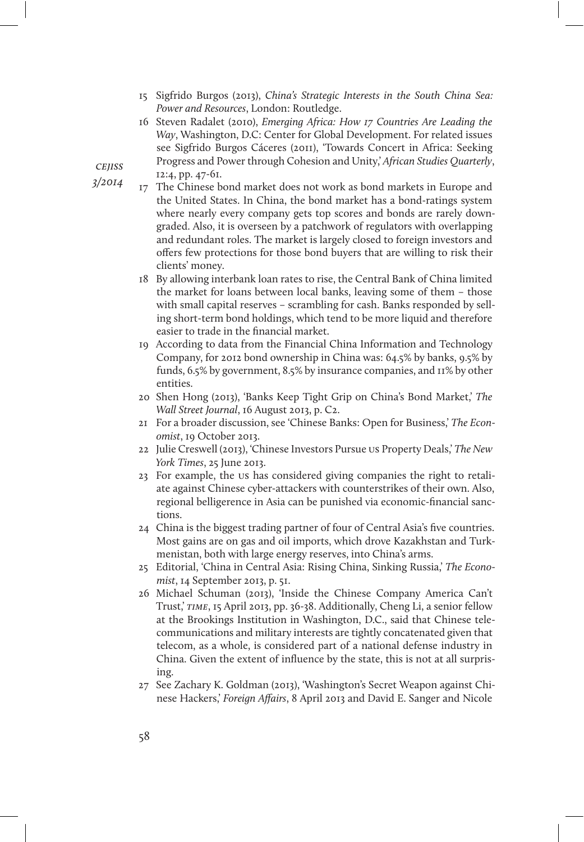- 15 Sigfrido Burgos (2013), China's Strategic Interests in the South China Sea: Power and Resources, London: Routledge.
- 16 Steven Radalet (2010), Emerging Africa: How 17 Countries Are Leading the Way, Washington, D.C: Center for Global Development. For related issues see Sigfrido Burgos Cáceres (2011), 'Towards Concert in Africa: Seeking Progress and Power through Cohesion and Unity,' African Studies Quarterly, 12:4, pp. 47-61.
- 17 The Chinese bond market does not work as bond markets in Europe and the United States. In China, the bond market has a bond-ratings system where nearly every company gets top scores and bonds are rarely downgraded. Also, it is overseen by a patchwork of regulators with overlapping and redundant roles. The market is largely closed to foreign investors and offers few protections for those bond buyers that are willing to risk their clients' money.
	- 18 By allowing interbank loan rates to rise, the Central Bank of China limited the market for loans between local banks, leaving some of them – those with small capital reserves – scrambling for cash. Banks responded by selling short-term bond holdings, which tend to be more liquid and therefore easier to trade in the financial market.
	- 19 According to data from the Financial China Information and Technology Company, for 2012 bond ownership in China was: 64.5% by banks, 9.5% by funds, 6.5% by government, 8.5% by insurance companies, and 11% by other entities.
	- 20 Shen Hong (2013), 'Banks Keep Tight Grip on China's Bond Market,' The Wall Street Journal, 16 August 2013, p. C2.
	- 21 For a broader discussion, see 'Chinese Banks: Open for Business,' The Economist, 19 October 2013.
	- 22 Julie Creswell (2013), 'Chinese Investors Pursue us Property Deals,' The New York Times, 25 June 2013.
	- 23 For example, the us has considered giving companies the right to retaliate against Chinese cyber-attackers with counterstrikes of their own. Also, regional belligerence in Asia can be punished via economic-financial sanctions.
	- 24 China is the biggest trading partner of four of Central Asia's five countries. Most gains are on gas and oil imports, which drove Kazakhstan and Turkmenistan, both with large energy reserves, into China's arms.
	- 25 Editorial, 'China in Central Asia: Rising China, Sinking Russia,' The Economist, 14 September 2013, p. 51.
	- 26 Michael Schuman (2013), 'Inside the Chinese Company America Can't Trust,' TIME, 15 April 2013, pp. 36-38. Additionally, Cheng Li, a senior fellow at the Brookings Institution in Washington, D.C., said that Chinese telecommunications and military interests are tightly concatenated given that telecom, as a whole, is considered part of a national defense industry in China. Given the extent of influence by the state, this is not at all surprising.
	- 27 See Zachary K. Goldman (2013), 'Washington's Secret Weapon against Chinese Hackers,' Foreign Affairs, 8 April 2013 and David E. Sanger and Nicole

**CEIISS** 

3/2014